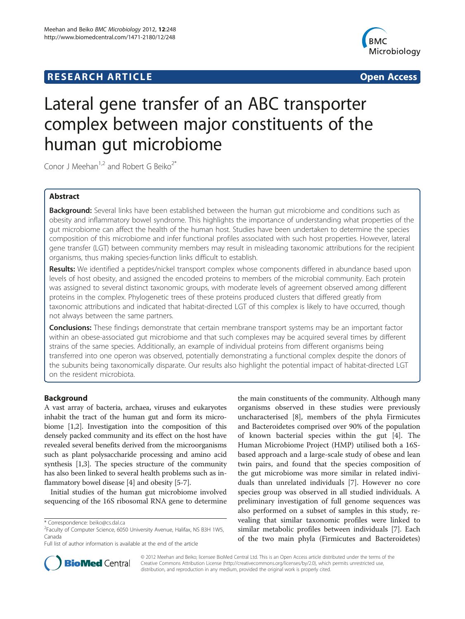## **RESEARCH ARTICLE Example 2014 The Contract of Contract Contract Contract Contract Contract Contract Contract Contract Contract Contract Contract Contract Contract Contract Contract Contract Contract Contract Contract Co**



# Lateral gene transfer of an ABC transporter complex between major constituents of the human gut microbiome

Conor J Meehan<sup>1,2</sup> and Robert G Beiko<sup>2\*</sup>

## Abstract

Background: Several links have been established between the human gut microbiome and conditions such as obesity and inflammatory bowel syndrome. This highlights the importance of understanding what properties of the gut microbiome can affect the health of the human host. Studies have been undertaken to determine the species composition of this microbiome and infer functional profiles associated with such host properties. However, lateral gene transfer (LGT) between community members may result in misleading taxonomic attributions for the recipient organisms, thus making species-function links difficult to establish.

Results: We identified a peptides/nickel transport complex whose components differed in abundance based upon levels of host obesity, and assigned the encoded proteins to members of the microbial community. Each protein was assigned to several distinct taxonomic groups, with moderate levels of agreement observed among different proteins in the complex. Phylogenetic trees of these proteins produced clusters that differed greatly from taxonomic attributions and indicated that habitat-directed LGT of this complex is likely to have occurred, though not always between the same partners.

**Conclusions:** These findings demonstrate that certain membrane transport systems may be an important factor within an obese-associated gut microbiome and that such complexes may be acquired several times by different strains of the same species. Additionally, an example of individual proteins from different organisms being transferred into one operon was observed, potentially demonstrating a functional complex despite the donors of the subunits being taxonomically disparate. Our results also highlight the potential impact of habitat-directed LGT on the resident microbiota.

#### Background

A vast array of bacteria, archaea, viruses and eukaryotes inhabit the tract of the human gut and form its microbiome [\[1,2\]](#page-6-0). Investigation into the composition of this densely packed community and its effect on the host have revealed several benefits derived from the microorganisms such as plant polysaccharide processing and amino acid synthesis [\[1,3\]](#page-6-0). The species structure of the community has also been linked to several health problems such as inflammatory bowel disease [\[4\]](#page-6-0) and obesity [[5-7\]](#page-7-0).

Initial studies of the human gut microbiome involved sequencing of the 16S ribosomal RNA gene to determine

the main constituents of the community. Although many organisms observed in these studies were previously uncharacterised [[8\]](#page-7-0), members of the phyla Firmicutes and Bacteroidetes comprised over 90% of the population of known bacterial species within the gut [[4](#page-6-0)]. The Human Microbiome Project (HMP) utilised both a 16Sbased approach and a large-scale study of obese and lean twin pairs, and found that the species composition of the gut microbiome was more similar in related individuals than unrelated individuals [\[7](#page-7-0)]. However no core species group was observed in all studied individuals. A preliminary investigation of full genome sequences was also performed on a subset of samples in this study, revealing that similar taxonomic profiles were linked to similar metabolic profiles between individuals [\[7](#page-7-0)]. Each of the two main phyla (Firmicutes and Bacteroidetes)



© 2012 Meehan and Beiko; licensee BioMed Central Ltd. This is an Open Access article distributed under the terms of the Creative Commons Attribution License (<http://creativecommons.org/licenses/by/2.0>), which permits unrestricted use, distribution, and reproduction in any medium, provided the original work is properly cited.

<sup>\*</sup> Correspondence: [beiko@cs.dal.ca](mailto:beiko@cs.dal.ca) <sup>2</sup>

<sup>&</sup>lt;sup>2</sup>Faculty of Computer Science, 6050 University Avenue, Halifax, NS B3H 1W5, Canada

Full list of author information is available at the end of the article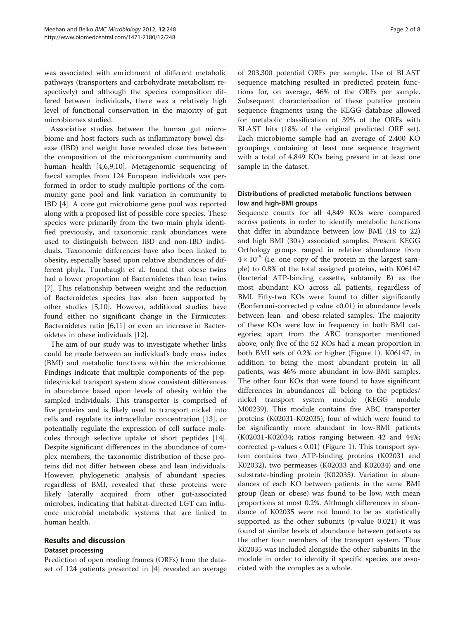was associated with enrichment of different metabolic pathways (transporters and carbohydrate metabolism respectively) and although the species composition differed between individuals, there was a relatively high level of functional conservation in the majority of gut microbiomes studied.

Associative studies between the human gut microbiome and host factors such as inflammatory bowel disease (IBD) and weight have revealed close ties between the composition of the microorganism community and human health [\[4](#page-6-0)[,6,9,10](#page-7-0)]. Metagenomic sequencing of faecal samples from 124 European individuals was performed in order to study multiple portions of the community gene pool and link variation in community to IBD [\[4](#page-6-0)]. A core gut microbiome gene pool was reported along with a proposed list of possible core species. These species were primarily from the two main phyla identified previously, and taxonomic rank abundances were used to distinguish between IBD and non-IBD individuals. Taxonomic differences have also been linked to obesity, especially based upon relative abundances of different phyla. Turnbaugh et al. found that obese twins had a lower proportion of Bacteroidetes than lean twins [[7\]](#page-7-0). This relationship between weight and the reduction of Bacteroidetes species has also been supported by other studies [[5,10\]](#page-7-0). However, additional studies have found either no significant change in the Firmicutes: Bacteroidetes ratio [[6,11\]](#page-7-0) or even an increase in Bacteroidetes in obese individuals [\[12\]](#page-7-0).

The aim of our study was to investigate whether links could be made between an individual's body mass index (BMI) and metabolic functions within the microbiome. Findings indicate that multiple components of the peptides/nickel transport system show consistent differences in abundance based upon levels of obesity within the sampled individuals. This transporter is comprised of five proteins and is likely used to transport nickel into cells and regulate its intracellular concentration [[13\]](#page-7-0), or potentially regulate the expression of cell surface molecules through selective uptake of short peptides [\[14](#page-7-0)]. Despite significant differences in the abundance of complex members, the taxonomic distribution of these proteins did not differ between obese and lean individuals. However, phylogenetic analysis of abundant species, regardless of BMI, revealed that these proteins were likely laterally acquired from other gut-associated microbes, indicating that habitat-directed LGT can influence microbial metabolic systems that are linked to human health.

#### Results and discussion

#### Dataset processing

Prediction of open reading frames (ORFs) from the dataset of 124 patients presented in [[4\]](#page-6-0) revealed an average of 203,300 potential ORFs per sample. Use of BLAST sequence matching resulted in predicted protein functions for, on average, 46% of the ORFs per sample. Subsequent characterisation of these putative protein sequence fragments using the KEGG database allowed for metabolic classification of 39% of the ORFs with BLAST hits (18% of the original predicted ORF set). Each microbiome sample had an average of 2,400 KO groupings containing at least one sequence fragment with a total of 4,849 KOs being present in at least one sample in the dataset.

## Distributions of predicted metabolic functions between low and high-BMI groups

Sequence counts for all 4,849 KOs were compared across patients in order to identify metabolic functions that differ in abundance between low BMI (18 to 22) and high BMI (30+) associated samples. Present KEGG Orthology groups ranged in relative abundance from  $4 \times 10^{-5}$  (i.e. one copy of the protein in the largest sample) to 0.8% of the total assigned proteins, with K06147 (bacterial ATP-binding cassette, subfamily B) as the most abundant KO across all patients, regardless of BMI. Fifty-two KOs were found to differ significantly (Bonferroni-corrected p value <0.01) in abundance levels between lean- and obese-related samples. The majority of these KOs were low in frequency in both BMI categories; apart from the ABC transporter mentioned above, only five of the 52 KOs had a mean proportion in both BMI sets of 0.2% or higher (Figure [1](#page-2-0)). K06147, in addition to being the most abundant protein in all patients, was 46% more abundant in low-BMI samples. The other four KOs that were found to have significant differences in abundances all belong to the peptides/ nickel transport system module (KEGG module M00239). This module contains five ABC transporter proteins (K02031-K02035), four of which were found to be significantly more abundant in low-BMI patients (K02031-K02034; ratios ranging between 42 and 44%; corrected p-values  $< 0.01$ ) (Figure [1\)](#page-2-0). This transport system contains two ATP-binding proteins (K02031 and K02032), two permeases (K02033 and K02034) and one substrate-binding protein (K02035). Variation in abundances of each KO between patients in the same BMI group (lean or obese) was found to be low, with mean proportions at most 0.2%. Although differences in abundance of K02035 were not found to be as statistically supported as the other subunits (p-value 0.021) it was found at similar levels of abundance between patients as the other four members of the transport system. Thus K02035 was included alongside the other subunits in the module in order to identify if specific species are associated with the complex as a whole.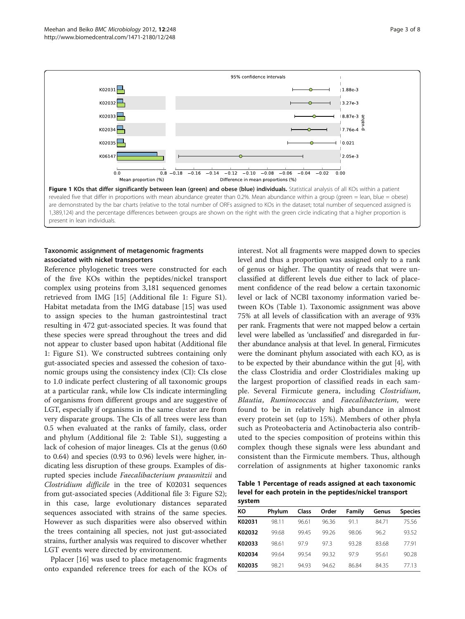<span id="page-2-0"></span>

## Taxonomic assignment of metagenomic fragments associated with nickel transporters

Reference phylogenetic trees were constructed for each of the five KOs within the peptides/nickel transport complex using proteins from 3,181 sequenced genomes retrieved from IMG [[15\]](#page-7-0) (Additional file [1:](#page-6-0) Figure S1). Habitat metadata from the IMG database [[15](#page-7-0)] was used to assign species to the human gastrointestinal tract resulting in 472 gut-associated species. It was found that these species were spread throughout the trees and did not appear to cluster based upon habitat (Additional file [1:](#page-6-0) Figure S1). We constructed subtrees containing only gut-associated species and assessed the cohesion of taxonomic groups using the consistency index (CI): CIs close to 1.0 indicate perfect clustering of all taxonomic groups at a particular rank, while low CIs indicate intermingling of organisms from different groups and are suggestive of LGT, especially if organisms in the same cluster are from very disparate groups. The CIs of all trees were less than 0.5 when evaluated at the ranks of family, class, order and phylum (Additional file [2](#page-6-0): Table S1), suggesting a lack of cohesion of major lineages. CIs at the genus (0.60 to 0.64) and species (0.93 to 0.96) levels were higher, indicating less disruption of these groups. Examples of disrupted species include Faecalibacterium prausnitzii and Clostridium difficile in the tree of K02031 sequences from gut-associated species (Additional file [3](#page-6-0): Figure S2); in this case, large evolutionary distances separated sequences associated with strains of the same species. However as such disparities were also observed within the trees containing all species, not just gut-associated strains, further analysis was required to discover whether LGT events were directed by environment.

Pplacer [\[16\]](#page-7-0) was used to place metagenomic fragments onto expanded reference trees for each of the KOs of interest. Not all fragments were mapped down to species level and thus a proportion was assigned only to a rank of genus or higher. The quantity of reads that were unclassified at different levels due either to lack of placement confidence of the read below a certain taxonomic level or lack of NCBI taxonomy information varied between KOs (Table 1). Taxonomic assignment was above 75% at all levels of classification with an average of 93% per rank. Fragments that were not mapped below a certain level were labelled as 'unclassified' and disregarded in further abundance analysis at that level. In general, Firmicutes were the dominant phylum associated with each KO, as is to be expected by their abundance within the gut [\[4](#page-6-0)], with the class Clostridia and order Clostridiales making up the largest proportion of classified reads in each sample. Several Firmicute genera, including Clostridium, Blautia, Ruminococcus and Faecalibacterium, were found to be in relatively high abundance in almost every protein set (up to 15%). Members of other phyla such as Proteobacteria and Actinobacteria also contributed to the species composition of proteins within this complex though these signals were less abundant and consistent than the Firmicute members. Thus, although correlation of assignments at higher taxonomic ranks

Table 1 Percentage of reads assigned at each taxonomic level for each protein in the peptides/nickel transport system

| Phylum | Class | Order | Family | Genus | <b>Species</b> |
|--------|-------|-------|--------|-------|----------------|
| 98.11  | 96.61 | 96.36 | 91.1   | 84.71 | 75.56          |
| 99.68  | 9945  | 99.26 | 98.06  | 96.2  | 93.52          |
| 98.61  | 979   | 973   | 93.28  | 83.68 | 7791           |
| 99.64  | 9954  | 9932  | 979    | 95.61 | 90.28          |
| 98.21  | 94.93 | 94.62 | 86.84  | 8435  | 7713           |
|        |       |       |        |       |                |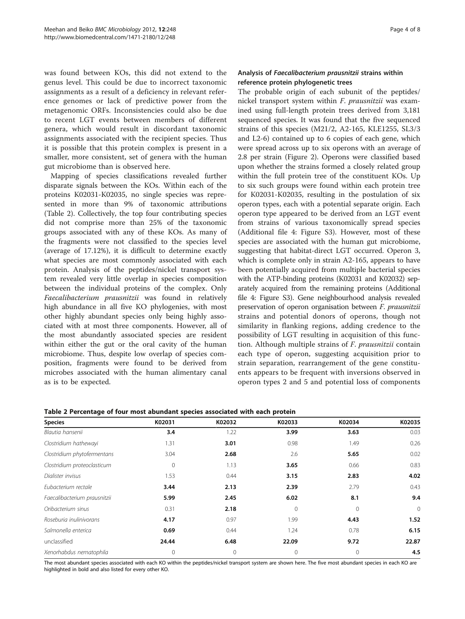<span id="page-3-0"></span>was found between KOs, this did not extend to the genus level. This could be due to incorrect taxonomic assignments as a result of a deficiency in relevant reference genomes or lack of predictive power from the metagenomic ORFs. Inconsistencies could also be due to recent LGT events between members of different genera, which would result in discordant taxonomic assignments associated with the recipient species. Thus it is possible that this protein complex is present in a smaller, more consistent, set of genera with the human gut microbiome than is observed here.

Mapping of species classifications revealed further disparate signals between the KOs. Within each of the proteins K02031-K02035, no single species was represented in more than 9% of taxonomic attributions (Table 2). Collectively, the top four contributing species did not comprise more than 25% of the taxonomic groups associated with any of these KOs. As many of the fragments were not classified to the species level (average of 17.12%), it is difficult to determine exactly what species are most commonly associated with each protein. Analysis of the peptides/nickel transport system revealed very little overlap in species composition between the individual proteins of the complex. Only Faecalibacterium prausnitzii was found in relatively high abundance in all five KO phylogenies, with most other highly abundant species only being highly associated with at most three components. However, all of the most abundantly associated species are resident within either the gut or the oral cavity of the human microbiome. Thus, despite low overlap of species composition, fragments were found to be derived from microbes associated with the human alimentary canal as is to be expected.

## Analysis of Faecalibacterium prausnitzii strains within reference protein phylogenetic trees

The probable origin of each subunit of the peptides/ nickel transport system within F. prausnitzii was examined using full-length protein trees derived from 3,181 sequenced species. It was found that the five sequenced strains of this species (M21/2, A2-165, KLE1255, SL3/3 and L2-6) contained up to 6 copies of each gene, which were spread across up to six operons with an average of 2.8 per strain (Figure [2\)](#page-4-0). Operons were classified based upon whether the strains formed a closely related group within the full protein tree of the constituent KOs. Up to six such groups were found within each protein tree for K02031-K02035, resulting in the postulation of six operon types, each with a potential separate origin. Each operon type appeared to be derived from an LGT event from strains of various taxonomically spread species (Additional file [4](#page-6-0): Figure S3). However, most of these species are associated with the human gut microbiome, suggesting that habitat-direct LGT occurred. Operon 3, which is complete only in strain A2-165, appears to have been potentially acquired from multiple bacterial species with the ATP-binding proteins (K02031 and K02032) separately acquired from the remaining proteins (Additional file [4:](#page-6-0) Figure S3). Gene neighbourhood analysis revealed preservation of operon organisation between F. prausnitzii strains and potential donors of operons, though not similarity in flanking regions, adding credence to the possibility of LGT resulting in acquisition of this function. Although multiple strains of F. prausnitzii contain each type of operon, suggesting acquisition prior to strain separation, rearrangement of the gene constituents appears to be frequent with inversions observed in operon types 2 and 5 and potential loss of components

|  | Table 2 Percentage of four most abundant species associated with each protein |  |
|--|-------------------------------------------------------------------------------|--|
|--|-------------------------------------------------------------------------------|--|

| <b>Species</b>               | K02031       | K02032   | K02033       | K02034   | K02035         |
|------------------------------|--------------|----------|--------------|----------|----------------|
| Blautia hansenii             | 3.4          | 1.22     | 3.99         | 3.63     | 0.03           |
| Clostridium hathewayi        | 1.31         | 3.01     | 0.98         | 1.49     | 0.26           |
| Clostridium phytofermentans  | 3.04         | 2.68     | 2.6          | 5.65     | 0.02           |
| Clostridium proteoclasticum  | $\mathbf 0$  | 1.13     | 3.65         | 0.66     | 0.83           |
| Dialister invisus            | 1.53         | 0.44     | 3.15         | 2.83     | 4.02           |
| Eubacterium rectale          | 3.44         | 2.13     | 2.39         | 2.79     | 0.43           |
| Faecalibacterium prausnitzii | 5.99         | 2.45     | 6.02         | 8.1      | 9.4            |
| Oribacterium sinus           | 0.31         | 2.18     | $\Omega$     | $\Omega$ | $\overline{0}$ |
| Roseburia inulinivorans      | 4.17         | 0.97     | 1.99         | 4.43     | 1.52           |
| Salmonella enterica          | 0.69         | 0.44     | 1.24         | 0.78     | 6.15           |
| unclassified                 | 24.44        | 6.48     | 22.09        | 9.72     | 22.87          |
| Xenorhabdus nematophila      | $\mathbf{0}$ | $\Omega$ | $\mathbf{0}$ | $\Omega$ | 4.5            |

The most abundant species associated with each KO within the peptides/nickel transport system are shown here. The five most abundant species in each KO are highlighted in bold and also listed for every other KO.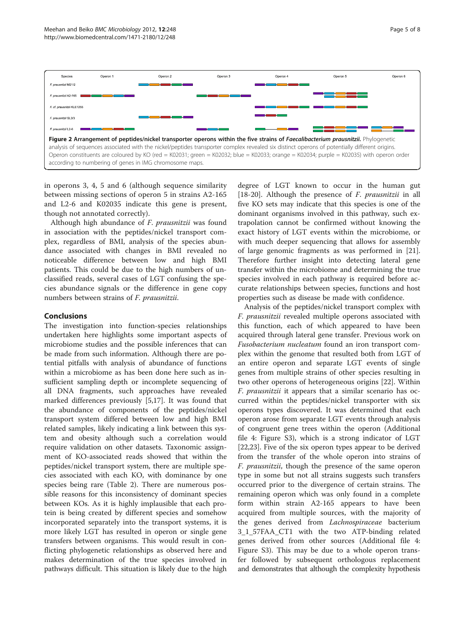<span id="page-4-0"></span>

in operons 3, 4, 5 and 6 (although sequence similarity between missing sections of operon 5 in strains A2-165 and L2-6 and K02035 indicate this gene is present, though not annotated correctly).

Although high abundance of F. prausnitzii was found in association with the peptides/nickel transport complex, regardless of BMI, analysis of the species abundance associated with changes in BMI revealed no noticeable difference between low and high BMI patients. This could be due to the high numbers of unclassified reads, several cases of LGT confusing the species abundance signals or the difference in gene copy numbers between strains of F. prausnitzii.

#### Conclusions

The investigation into function-species relationships undertaken here highlights some important aspects of microbiome studies and the possible inferences that can be made from such information. Although there are potential pitfalls with analysis of abundance of functions within a microbiome as has been done here such as insufficient sampling depth or incomplete sequencing of all DNA fragments, such approaches have revealed marked differences previously [\[5,17](#page-7-0)]. It was found that the abundance of components of the peptides/nickel transport system differed between low and high BMI related samples, likely indicating a link between this system and obesity although such a correlation would require validation on other datasets. Taxonomic assignment of KO-associated reads showed that within the peptides/nickel transport system, there are multiple species associated with each KO, with dominance by one species being rare (Table [2\)](#page-3-0). There are numerous possible reasons for this inconsistency of dominant species between KOs. As it is highly implausible that each protein is being created by different species and somehow incorporated separately into the transport systems, it is more likely LGT has resulted in operon or single gene transfers between organisms. This would result in conflicting phylogenetic relationships as observed here and makes determination of the true species involved in pathways difficult. This situation is likely due to the high degree of LGT known to occur in the human gut [[18-20](#page-7-0)]. Although the presence of *F. prausnitzii* in all five KO sets may indicate that this species is one of the dominant organisms involved in this pathway, such extrapolation cannot be confirmed without knowing the exact history of LGT events within the microbiome, or with much deeper sequencing that allows for assembly of large genomic fragments as was performed in [\[21](#page-7-0)]. Therefore further insight into detecting lateral gene transfer within the microbiome and determining the true species involved in each pathway is required before accurate relationships between species, functions and host properties such as disease be made with confidence.

Analysis of the peptides/nickel transport complex with F. prausnitzii revealed multiple operons associated with this function, each of which appeared to have been acquired through lateral gene transfer. Previous work on Fusobacterium nucleatum found an iron transport complex within the genome that resulted both from LGT of an entire operon and separate LGT events of single genes from multiple strains of other species resulting in two other operons of heterogeneous origins [\[22](#page-7-0)]. Within F. prausnitzii it appears that a similar scenario has occurred within the peptides/nickel transporter with six operons types discovered. It was determined that each operon arose from separate LGT events through analysis of congruent gene trees within the operon (Additional file [4:](#page-6-0) Figure S3), which is a strong indicator of LGT [[22,23\]](#page-7-0). Five of the six operon types appear to be derived from the transfer of the whole operon into strains of F. prausnitzii, though the presence of the same operon type in some but not all strains suggests such transfers occurred prior to the divergence of certain strains. The remaining operon which was only found in a complete form within strain A2-165 appears to have been acquired from multiple sources, with the majority of the genes derived from Lachnospiraceae bacterium 3\_1\_57FAA\_CT1 with the two ATP-binding related genes derived from other sources (Additional file [4](#page-6-0): Figure S3). This may be due to a whole operon transfer followed by subsequent orthologous replacement and demonstrates that although the complexity hypothesis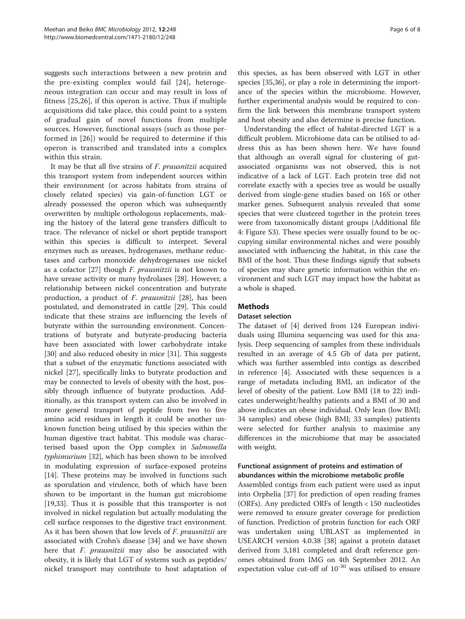suggests such interactions between a new protein and the pre-existing complex would fail [[24\]](#page-7-0), heterogeneous integration can occur and may result in loss of fitness [\[25](#page-7-0),[26\]](#page-7-0), if this operon is active. Thus if multiple acquisitions did take place, this could point to a system of gradual gain of novel functions from multiple sources. However, functional assays (such as those performed in [[26\]](#page-7-0)) would be required to determine if this operon is transcribed and translated into a complex within this strain.

It may be that all five strains of F. prausnitzii acquired this transport system from independent sources within their environment (or across habitats from strains of closely related species) via gain-of-function LGT or already possessed the operon which was subsequently overwritten by multiple orthologous replacements, making the history of the lateral gene transfers difficult to trace. The relevance of nickel or short peptide transport within this species is difficult to interpret. Several enzymes such as ureases, hydrogenases, methane reductases and carbon monoxide dehydrogenases use nickel as a cofactor [\[27](#page-7-0)] though F. prausnitzii is not known to have urease activity or many hydrolases [[28](#page-7-0)]. However, a relationship between nickel concentration and butyrate production, a product of *F. prausnitzii* [[28](#page-7-0)], has been postulated, and demonstrated in cattle [\[29](#page-7-0)]. This could indicate that these strains are influencing the levels of butyrate within the surrounding environment. Concentrations of butyrate and butyrate-producing bacteria have been associated with lower carbohydrate intake [[30\]](#page-7-0) and also reduced obesity in mice [\[31](#page-7-0)]. This suggests that a subset of the enzymatic functions associated with nickel [[27\]](#page-7-0), specifically links to butyrate production and may be connected to levels of obesity with the host, possibly through influence of butyrate production. Additionally, as this transport system can also be involved in more general transport of peptide from two to five amino acid residues in length it could be another unknown function being utilised by this species within the human digestive tract habitat. This module was characterised based upon the Opp complex in Salmonella typhimurium [[32\]](#page-7-0), which has been shown to be involved in modulating expression of surface-exposed proteins [[14\]](#page-7-0). These proteins may be involved in functions such as sporulation and virulence, both of which have been shown to be important in the human gut microbiome [[19,33\]](#page-7-0). Thus it is possible that this transporter is not involved in nickel regulation but actually modulating the cell surface responses to the digestive tract environment. As it has been shown that low levels of *F. prausnitzii* are associated with Crohn's disease [[34](#page-7-0)] and we have shown here that *F. prausnitzii* may also be associated with obesity, it is likely that LGT of systems such as peptides/ nickel transport may contribute to host adaptation of

this species, as has been observed with LGT in other species [[35](#page-7-0),[36](#page-7-0)], or play a role in determining the importance of the species within the microbiome. However, further experimental analysis would be required to confirm the link between this membrane transport system and host obesity and also determine is precise function.

Understanding the effect of habitat-directed LGT is a difficult problem. Microbiome data can be utilised to address this as has been shown here. We have found that although an overall signal for clustering of gutassociated organisms was not observed, this is not indicative of a lack of LGT. Each protein tree did not correlate exactly with a species tree as would be usually derived from single-gene studies based on 16S or other marker genes. Subsequent analysis revealed that some species that were clustered together in the protein trees were from taxonomically distant groups (Additional file [4:](#page-6-0) Figure S3). These species were usually found to be occupying similar environmental niches and were possibly associated with influencing the habitat, in this case the BMI of the host. Thus these findings signify that subsets of species may share genetic information within the environment and such LGT may impact how the habitat as a whole is shaped.

#### Methods

## Dataset selection

The dataset of [[4\]](#page-6-0) derived from 124 European individuals using Illumina sequencing was used for this analysis. Deep sequencing of samples from these individuals resulted in an average of 4.5 Gb of data per patient, which was further assembled into contigs as described in reference [[4](#page-6-0)]. Associated with these sequences is a range of metadata including BMI, an indicator of the level of obesity of the patient. Low BMI (18 to 22) indicates underweight/healthy patients and a BMI of 30 and above indicates an obese individual. Only lean (low BMI; 34 samples) and obese (high BMI; 33 samples) patients were selected for further analysis to maximise any differences in the microbiome that may be associated with weight.

## Functional assignment of proteins and estimation of abundances within the microbiome metabolic profile

Assembled contigs from each patient were used as input into Orphelia [[37](#page-7-0)] for prediction of open reading frames (ORFs). Any predicted ORFs of length < 150 nucleotides were removed to ensure greater coverage for prediction of function. Prediction of protein function for each ORF was undertaken using UBLAST as implemented in USEARCH version 4.0.38 [\[38](#page-7-0)] against a protein dataset derived from 3,181 completed and draft reference genomes obtained from IMG on 4th September 2012. An expectation value cut-off of  $10^{-30}$  was utilised to ensure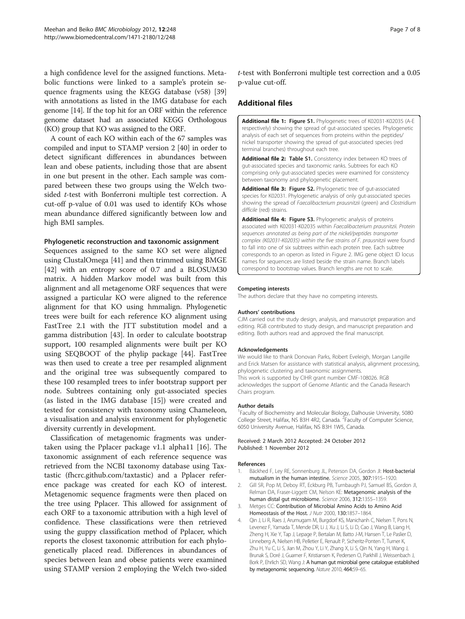<span id="page-6-0"></span>a high confidence level for the assigned functions. Metabolic functions were linked to a sample's protein sequence fragments using the KEGG database (v58) [[39](#page-7-0)] with annotations as listed in the IMG database for each genome [[14](#page-7-0)]. If the top hit for an ORF within the reference genome dataset had an associated KEGG Orthologous (KO) group that KO was assigned to the ORF.

A count of each KO within each of the 67 samples was compiled and input to STAMP version 2 [\[40](#page-7-0)] in order to detect significant differences in abundances between lean and obese patients, including those that are absent in one but present in the other. Each sample was compared between these two groups using the Welch twosided t-test with Bonferroni multiple test correction. A cut-off p-value of 0.01 was used to identify KOs whose mean abundance differed significantly between low and high BMI samples.

#### Phylogenetic reconstruction and taxonomic assignment

Sequences assigned to the same KO set were aligned using ClustalOmega [\[41\]](#page-7-0) and then trimmed using BMGE [[42\]](#page-7-0) with an entropy score of 0.7 and a BLOSUM30 matrix. A hidden Markov model was built from this alignment and all metagenome ORF sequences that were assigned a particular KO were aligned to the reference alignment for that KO using hmmalign. Phylogenetic trees were built for each reference KO alignment using FastTree 2.1 with the JTT substitution model and a gamma distribution [\[43](#page-7-0)]. In order to calculate bootstrap support, 100 resampled alignments were built per KO using SEQBOOT of the phylip package [\[44\]](#page-7-0). FastTree was then used to create a tree per resampled alignment and the original tree was subsequently compared to these 100 resampled trees to infer bootstrap support per node. Subtrees containing only gut-associated species (as listed in the IMG database [\[15](#page-7-0)]) were created and tested for consistency with taxonomy using Chameleon, a visualisation and analysis environment for phylogenetic diversity currently in development.

Classification of metagenomic fragments was undertaken using the Pplacer package v1.1 alpha11 [\[16](#page-7-0)]. The taxonomic assignment of each reference sequence was retrieved from the NCBI taxonomy database using Taxtastic ([fhcrc.github.com/taxtastic\)](http://fhcrc.github.com/taxtastic) and a Pplacer reference package was created for each KO of interest. Metagenomic sequence fragments were then placed on the tree using Pplacer. This allowed for assignment of each ORF to a taxonomic attribution with a high level of confidence. These classifications were then retrieved using the guppy classification method of Pplacer, which reports the closest taxonomic attribution for each phylogenetically placed read. Differences in abundances of species between lean and obese patients were examined using STAMP version 2 employing the Welch two-sided

t-test with Bonferroni multiple test correction and a 0.05 p-value cut-off.

#### Additional files

[Additional file 1:](http://www.biomedcentral.com/content/supplementary/1471-2180-12-248-S1.pdf) Figure S1. Phylogenetic trees of K02031-K02035 (A-E respectively) showing the spread of gut-associated species. Phylogenetic analysis of each set of sequences from proteins within the peptides/ nickel transporter showing the spread of gut-associated species (red terminal branches) throughout each tree.

[Additional file 2:](http://www.biomedcentral.com/content/supplementary/1471-2180-12-248-S2.pdf) Table S1. Consistency index between KO trees of gut-associated species and taxonomic ranks. Subtrees for each KO comprising only gut-associated species were examined for consistency between taxonomy and phylogenetic placement.

[Additional file 3:](http://www.biomedcentral.com/content/supplementary/1471-2180-12-248-S3.pdf) Figure S2. Phylogenetic tree of gut-associated species for K02031. Phylogenetic analysis of only gut-associated species showing the spread of Faecalibacterium prausnitzii (green) and Clostridium difficile (red) strains.

[Additional file 4:](http://www.biomedcentral.com/content/supplementary/1471-2180-12-248-S4.pdf) Figure S3. Phylogenetic analysis of proteins associated with K02031-K02035 within Faecalibacterium prausnitzii. Protein sequences annotated as being part of the nickel/peptides transporter complex (K02031-K02035) within the five strains of F. prausnitzii were found to fall into one of six subtrees within each protein tree. Each subtree corresponds to an operon as listed in Figure 2. IMG gene object ID locus names for sequences are listed beside the strain name. Branch labels correspond to bootstrap values. Branch lengths are not to scale.

#### Competing interests

The authors declare that they have no competing interests.

#### Authors' contributions

CJM carried out the study design, analysis, and manuscript preparation and editing. RGB contributed to study design, and manuscript preparation and editing. Both authors read and approved the final manuscript.

#### Acknowledgements

We would like to thank Donovan Parks, Robert Eveleigh, Morgan Langille and Erick Matsen for assistance with statistical analysis, alignment processing, phylogenetic clustering and taxonomic assignments. This work is supported by CIHR grant number CMF-108026. RGB acknowledges the support of Genome Atlantic and the Canada Research Chairs program.

#### Author details

<sup>1</sup> Faculty of Biochemistry and Molecular Biology, Dalhousie University, 5080 College Street, Halifax, NS B3H 4R2, Canada. <sup>2</sup> Faculty of Computer Science 6050 University Avenue, Halifax, NS B3H 1W5, Canada.

Received: 2 March 2012 Accepted: 24 October 2012 Published: 1 November 2012

#### References

- 1. Bäckhed F, Ley RE, Sonnenburg JL, Peterson DA, Gordon JI: Host-bacterial mutualism in the human intestine. Science 2005, 307:1915–1920.
- 2. Gill SR, Pop M, Deboy RT, Eckburg PB, Turnbaugh PJ, Samuel BS, Gordon JI, Relman DA, Fraser-Liggett CM, Nelson KE: Metagenomic analysis of the human distal gut microbiome. Science 2006, 312:1355–1359.
- 3. Metges CC: Contribution of Microbial Amino Acids to Amino Acid Homeostasis of the Host. J Nutr 2000, 130:1857–1864.
- 4. Qin J, Li R, Raes J, Arumugam M, Burgdorf KS, Manichanh C, Nielsen T, Pons N, Levenez F, Yamada T, Mende DR, Li J, Xu J, Li S, Li D, Cao J, Wang B, Liang H, Zheng H, Xie Y, Tap J, Lepage P, Bertalan M, Batto J-M, Hansen T, Le Paslier D, Linneberg A, Nielsen HB, Pelletier E, Renault P, Sicheritz-Ponten T, Turner K, Zhu H, Yu C, Li S, Jian M, Zhou Y, Li Y, Zhang X, Li S, Qin N, Yang H, Wang J, Brunak S, Doré J, Guarner F, Kristiansen K, Pedersen O, Parkhill J, Weissenbach J, Bork P, Ehrlich SD, Wang J: A human gut microbial gene catalogue established by metagenomic sequencing. Nature 2010, 464:59–65.